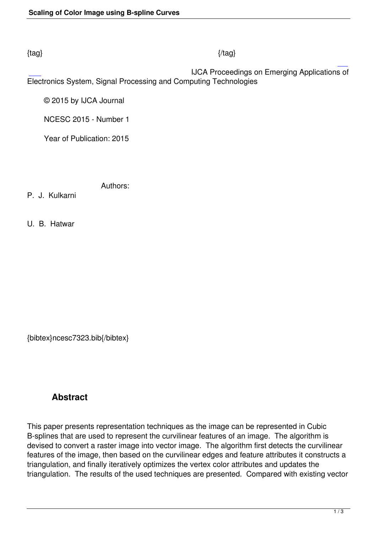#### $\{tag\}$

 IJCA Proceedings on Emerging Applications of Electronics System, Signal Processing and Computing Technologies

© 2015 by IJCA Journal

NCESC 2015 - Number 1

Year of Publication: 2015

Authors:

P. J. Kulkarni

U. B. Hatwar

{bibtex}ncesc7323.bib{/bibtex}

# **Abstract**

This paper presents representation techniques as the image can be represented in Cubic B-splines that are used to represent the curvilinear features of an image. The algorithm is devised to convert a raster image into vector image. The algorithm first detects the curvilinear features of the image, then based on the curvilinear edges and feature attributes it constructs a triangulation, and finally iteratively optimizes the vertex color attributes and updates the triangulation. The results of the used techniques are presented. Compared with existing vector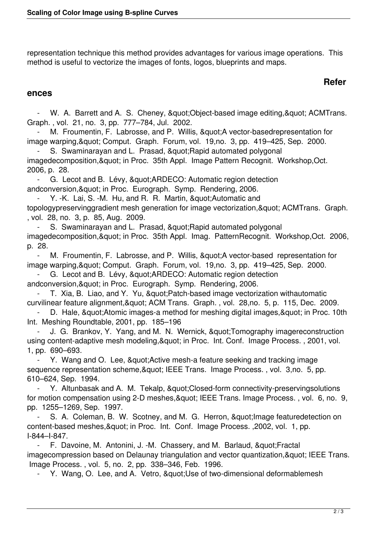representation technique this method provides advantages for various image operations. This method is useful to vectorize the images of fonts, logos, blueprints and maps.

## **Refer**

#### **ences**

W. A. Barrett and A. S. Cheney, & quot; Object-based image editing, & quot; ACMTrans. Graph. , vol. 21, no. 3, pp. 777–784, Jul. 2002.

M. Froumentin, F. Labrosse, and P. Willis, "A vector-basedrepresentation for image warping, & quot; Comput. Graph. Forum, vol. 19,no. 3, pp. 419–425, Sep. 2000.

S. Swaminarayan and L. Prasad, " Rapid automated polygonal imagedecomposition, & quot; in Proc. 35th Appl. Image Pattern Recognit. Workshop, Oct. 2006, p. 28.

- G. Lecot and B. Lévy, & quot; ARDECO: Automatic region detection andconversion, & quot; in Proc. Eurograph. Symp. Rendering, 2006.

Y. -K. Lai, S. -M. Hu, and R. R. Martin, " Automatic and topologypreservinggradient mesh generation for image vectorization, & quot; ACMTrans. Graph. , vol. 28, no. 3, p. 85, Aug. 2009.

S. Swaminarayan and L. Prasad, " Rapid automated polygonal imagedecomposition, & quot; in Proc. 35th Appl. Imag. PatternRecognit. Workshop, Oct. 2006, p. 28.

M. Froumentin, F. Labrosse, and P. Willis, " A vector-based representation for image warping, & quot; Comput. Graph. Forum, vol. 19,no. 3, pp. 419–425, Sep. 2000.

G. Lecot and B. Lévy, & quot: ARDECO: Automatic region detection andconversion, & quot; in Proc. Eurograph. Symp. Rendering, 2006.

T. Xia, B. Liao, and Y. Yu, & quot; Patch-based image vectorization withautomatic

curvilinear feature alignment, & quot; ACM Trans. Graph., vol. 28,no. 5, p. 115, Dec. 2009.

D. Hale, & quot; Atomic images-a method for meshing digital images, & quot; in Proc. 10th Int. Meshing Roundtable, 2001, pp. 185–196

J. G. Brankov, Y. Yang, and M. N. Wernick, " Tomography imagereconstruction using content-adaptive mesh modeling, & quot; in Proc. Int. Conf. Image Process., 2001, vol. 1, pp. 690–693.

Y. Wang and O. Lee, & quot; Active mesh-a feature seeking and tracking image sequence representation scheme, & quot; IEEE Trans. Image Process., vol. 3,no. 5, pp. 610–624, Sep. 1994.

Y. Altunbasak and A. M. Tekalp, " Closed-form connectivity-preservingsolutions for motion compensation using 2-D meshes, & quot: IEEE Trans. Image Process., vol. 6, no. 9, pp. 1255–1269, Sep. 1997.

S. A. Coleman, B. W. Scotney, and M. G. Herron, & quot; Image featuredetection on content-based meshes, & quot; in Proc. Int. Conf. Image Process. , 2002, vol. 1, pp. I-844–I-847.

F. Davoine, M. Antonini, J. -M. Chassery, and M. Barlaud, & quot; Fractal imagecompression based on Delaunay triangulation and vector quantization, & quot; IEEE Trans. Image Process. , vol. 5, no. 2, pp. 338–346, Feb. 1996.

- Y. Wang, O. Lee, and A. Vetro, & quot; Use of two-dimensional deformablemesh